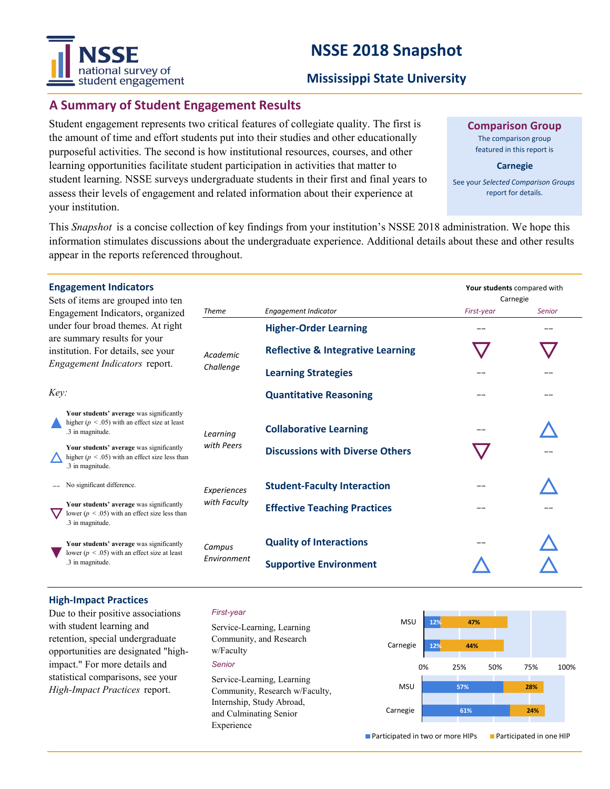# **NSSE 2018 Snapshot**



#### **Mississippi State University**

### **A Summary of Student Engagement Results**

Student engagement represents two critical features of collegiate quality. The first is the amount of time and effort students put into their studies and other educationally purposeful activities. The second is how institutional resources, courses, and other learning opportunities facilitate student participation in activities that matter to student learning. NSSE surveys undergraduate students in their first and final years to assess their levels of engagement and related information about their experience at your institution.

**Comparison Group**

The comparison group featured in this report is

**Carnegie**

See your *Selected Comparison Groups*  report for details.

**Your students** compared with

This *Snapshot* is a concise collection of key findings from your institution's NSSE 2018 administration. We hope this information stimulates discussions about the undergraduate experience. Additional details about these and other results appear in the reports referenced throughout.

#### **Engagement Indicators**

| Sets of items are grouped into ten<br>Engagement Indicators, organized<br>under four broad themes. At right<br>are summary results for your<br>institution. For details, see your<br>Engagement Indicators report. |                                                                                                                    |                             |                                              | Carnegie   |               |
|--------------------------------------------------------------------------------------------------------------------------------------------------------------------------------------------------------------------|--------------------------------------------------------------------------------------------------------------------|-----------------------------|----------------------------------------------|------------|---------------|
|                                                                                                                                                                                                                    |                                                                                                                    | <b>Theme</b>                | Engagement Indicator                         | First-year | <b>Senior</b> |
|                                                                                                                                                                                                                    |                                                                                                                    | Academic<br>Challenge       | <b>Higher-Order Learning</b>                 |            | --            |
|                                                                                                                                                                                                                    |                                                                                                                    |                             | <b>Reflective &amp; Integrative Learning</b> |            |               |
|                                                                                                                                                                                                                    |                                                                                                                    |                             | <b>Learning Strategies</b>                   |            |               |
| Key:                                                                                                                                                                                                               |                                                                                                                    |                             | <b>Quantitative Reasoning</b>                | - -        | --            |
|                                                                                                                                                                                                                    | Your students' average was significantly<br>higher ( $p < .05$ ) with an effect size at least<br>.3 in magnitude.  | Learning                    | <b>Collaborative Learning</b>                |            |               |
|                                                                                                                                                                                                                    | Your students' average was significantly<br>higher ( $p < .05$ ) with an effect size less than<br>.3 in magnitude. | with Peers                  | <b>Discussions with Diverse Others</b>       |            |               |
|                                                                                                                                                                                                                    | No significant difference.                                                                                         | Experiences<br>with Faculty | <b>Student-Faculty Interaction</b>           |            |               |
|                                                                                                                                                                                                                    | Your students' average was significantly<br>lower ( $p < 0.05$ ) with an effect size less than<br>.3 in magnitude. |                             | <b>Effective Teaching Practices</b>          | --         |               |
|                                                                                                                                                                                                                    | Your students' average was significantly<br>lower ( $p < .05$ ) with an effect size at least<br>.3 in magnitude.   | Campus<br>Environment       | <b>Quality of Interactions</b>               |            |               |
|                                                                                                                                                                                                                    |                                                                                                                    |                             | <b>Supportive Environment</b>                |            |               |
|                                                                                                                                                                                                                    |                                                                                                                    |                             |                                              |            |               |

#### **High‐Impact Practices**

Due to their positive associations with student learning and retention, special undergraduate opportunities are designated "highimpact." For more details and statistical comparisons, see your *High-Impact Practices* report.

#### *First-year*

*Senior* Service-Learning, Learning Community, and Research w/Faculty Service-Learning, Learning Community, Research w/Faculty, Internship, Study Abroad, and Culminating Senior Experience

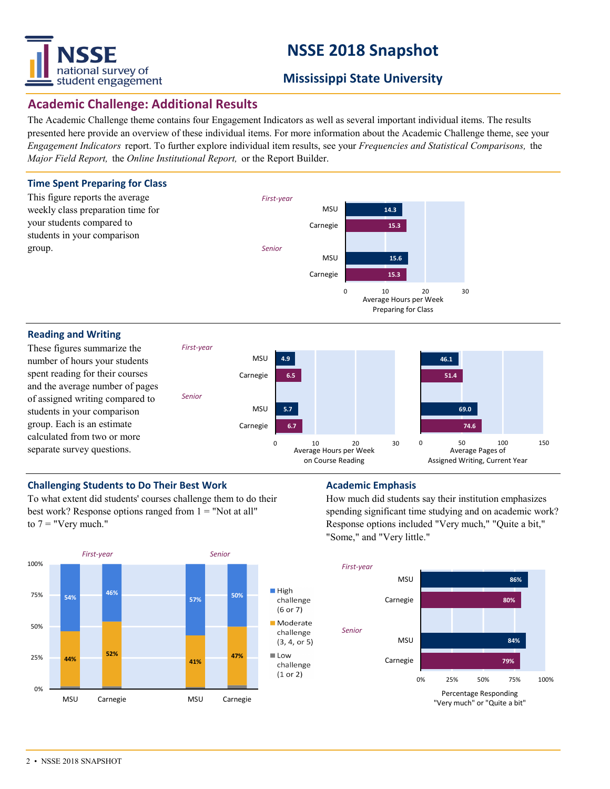

# **NSSE 2018 Snapshot**

### **Mississippi State University**

### **Academic Challenge: Additional Results**

The Academic Challenge theme contains four Engagement Indicators as well as several important individual items. The results presented here provide an overview of these individual items. For more information about the Academic Challenge theme, see your *Engagement Indicators* report. To further explore individual item results, see your *Frequencies and Statistical Comparisons,* the *Major Field Report,* the *Online Institutional Report,* or the Report Builder.



#### **Challenging Students to Do Their Best Work Manufacture Academic Emphasis**

To what extent did students' courses challenge them to do their best work? Response options ranged from  $1 =$  "Not at all" to  $7 =$  "Very much."



How much did students say their institution emphasizes spending significant time studying and on academic work? Response options included "Very much," "Quite a bit," "Some," and "Very little."

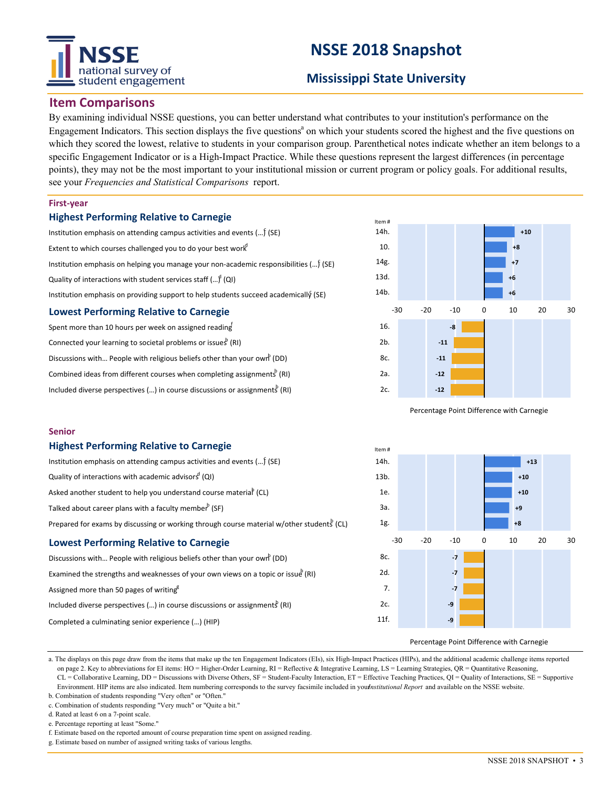# national survey of student engagement

# **NSSE 2018 Snapshot**

### **Mississippi State University**

#### **Item Comparisons**

By examining individual NSSE questions, you can better understand what contributes to your institution's performance on the Engagement Indicators. This section displays the five questions<sup>a</sup> on which your students scored the highest and the five questions on which they scored the lowest, relative to students in your comparison group. Parenthetical notes indicate whether an item belongs to a specific Engagement Indicator or is a High-Impact Practice. While these questions represent the largest differences (in percentage points), they may not be the most important to your institutional mission or current program or policy goals. For additional results, see your *Frequencies and Statistical Comparisons* report.

#### **First‐year**

**Senior**

#### **Highest Performing Relative to Carnegie**

**Highest Performing Relative to Carnegie**

Quality of interactions with academic advisors  $\mathrm{^d}$  (QI)

Talked about career plans with a faculty member  $($ SF $)$ 

**Lowest Performing Relative to Carnegie**

Completed a culminating senior experience (…) (HIP)

Assigned more than 50 pages of writing $g^g$ 

| Institution emphasis on attending campus activities and events $()$ (SE)              |  |  |  |  |  |  |
|---------------------------------------------------------------------------------------|--|--|--|--|--|--|
| Extent to which courses challenged you to do your best work <sup>d</sup>              |  |  |  |  |  |  |
| Institution emphasis on helping you manage your non-academic responsibilities () (SE) |  |  |  |  |  |  |
| Quality of interactions with student services staff $()^{n}$ (QI)                     |  |  |  |  |  |  |
| Institution emphasis on providing support to help students succeed academically (SE)  |  |  |  |  |  |  |
| <b>Lowest Performing Relative to Carnegie</b>                                         |  |  |  |  |  |  |
| Spont more than 10 hours nor week on assigned reading                                 |  |  |  |  |  |  |

| Spent more than 10 hours per week on assigned reading                                   |
|-----------------------------------------------------------------------------------------|
| Connected your learning to societal problems or issues (RI)                             |
| Discussions with People with religious beliefs other than your own <sup>b</sup> (DD)    |
| Combined ideas from different courses when completing assignments $(RI)$                |
| Included diverse perspectives () in course discussions or assignments <sup>b</sup> (RI) |

Institution emphasis on attending campus activities and events (...) (SE)

Asked another student to help you understand course materia $\mathsf{P}$  (CL)

Discussions with... People with religious beliefs other than your own (DD)

Included diverse perspectives (...) in course discussions or assignments (RI)

Examined the strengths and weaknesses of your own views on a topic or issue  $(RI)$ 

Prepared for exams by discussing or working through course material w/other student $S$  (CL)



Percentage Point Difference with Carnegie



Percentage Point Difference with Carnegie

a. The displays on this page draw from the items that make up the ten Engagement Indicators (EIs), six High-Impact Practices (HIPs), and the additional academic challenge items reported on page 2. Key to abbreviations for EI items: HO = Higher-Order Learning, RI = Reflective & Integrative Learning, LS = Learning Strategies, QR = Quantitative Reasoning, CL = Collaborative Learning, DD = Discussions with Diverse Others, SF = Student-Faculty Interaction, ET = Effective Teaching Practices, QI = Quality of Interactions, SE = Supportive Environment. HIP items are also indicated. Item numbering corresponds to the survey facsimile included in yournstitutional Report and available on the NSSE website.

b. Combination of students responding "Very often" or "Often." c. Combination of students responding "Very much" or "Quite a bit."

d. Rated at least 6 on a 7-point scale.

e. Percentage reporting at least "Some."

f. Estimate based on the reported amount of course preparation time spent on assigned reading.

g. Estimate based on number of assigned writing tasks of various lengths.